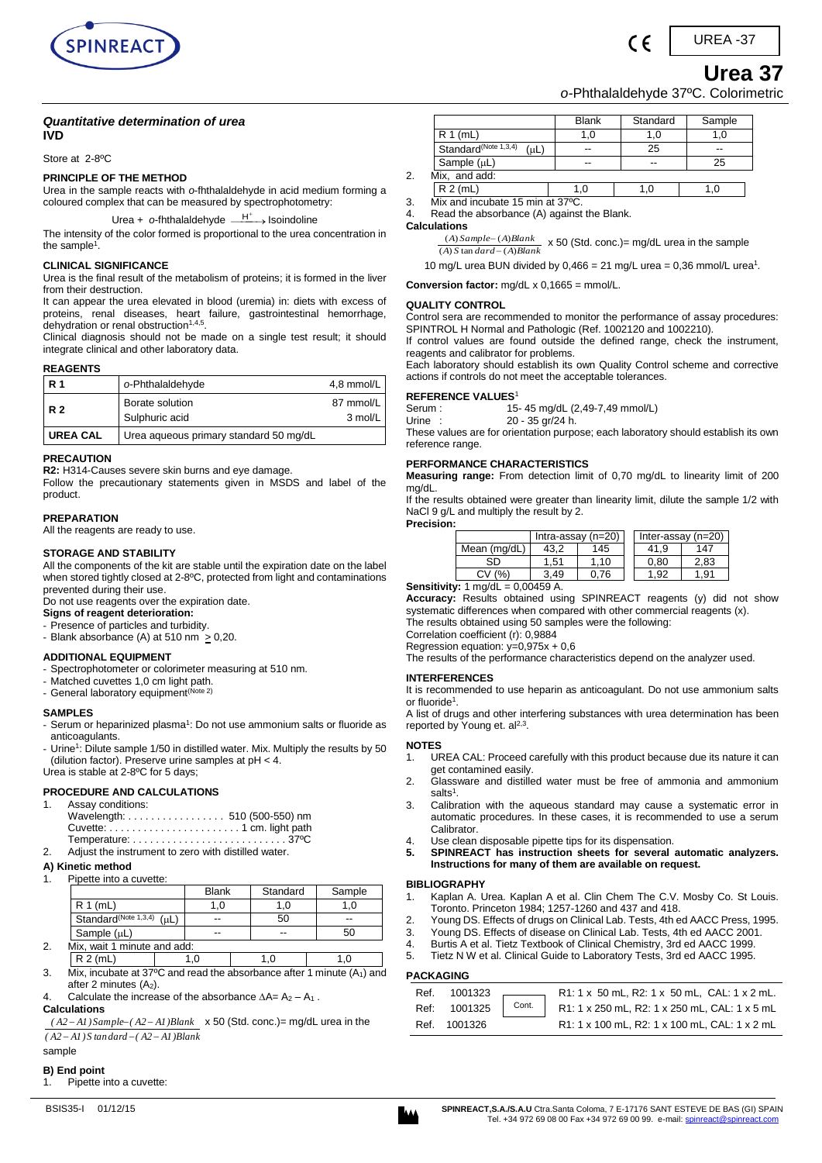

*o-*Phthalaldehyde 37ºC. Colorimetric

 $\epsilon$ 

### *Quantitative determination of urea* **IVD**

### Store at 2-8ºC

### **PRINCIPLE OF THE METHOD**

Urea in the sample reacts with *o*-fhthalaldehyde in acid medium forming a coloured complex that can be measured by spectrophotometry:

Urea + o-fhthalaldehyde <sup>\_\_\_\_\_\_+</sup> Isoindoline

The intensity of the color formed is proportional to the urea concentration in the sample $^1$ .

# **CLINICAL SIGNIFICANCE**

Urea is the final result of the metabolism of proteins; it is formed in the liver from their destruction.

It can appear the urea elevated in blood (uremia) in: diets with excess of proteins, renal diseases, heart failure, gastrointestinal hemorrhage, dehydration or renal obstruction<sup>1,4,5</sup>.

Clinical diagnosis should not be made on a single test result; it should integrate clinical and other laboratory data.

### **REAGENTS**

| l R 1      | o-Phthalaldehyde                       | 4,8 mmol/L           |
|------------|----------------------------------------|----------------------|
| <b>R2</b>  | Borate solution<br>Sulphuric acid      | 87 mmol/L<br>3 mol/L |
| I UREA CAL | Urea aqueous primary standard 50 mg/dL |                      |

# **PRECAUTION**

**R2:** H314-Causes severe skin burns and eye damage.

Follow the precautionary statements given in MSDS and label of the product.

### **PREPARATION**

All the reagents are ready to use.

### **STORAGE AND STABILITY**

All the components of the kit are stable until the expiration date on the label when stored tightly closed at 2-8ºC, protected from light and contaminations prevented during their use.

Do not use reagents over the expiration date.

**Signs of reagent deterioration:** 

- Presence of particles and turbidity. - Blank absorbance (A) at 510 nm  $\geq$  0,20.

### **ADDITIONAL EQUIPMENT**

- Spectrophotometer or colorimeter measuring at 510 nm.
- Matched cuvettes 1,0 cm light path.
- General laboratory equipment<sup>(Note 2)</sup>

#### **SAMPLES**

- Serum or heparinized plasma<sup>1</sup>: Do not use ammonium salts or fluoride as anticoagulants.

- Urine<sup>1</sup>: Dilute sample 1/50 in distilled water. Mix. Multiply the results by 50 (dilution factor). Preserve urine samples at pH < 4. Urea is stable at 2-8ºC for 5 days;

### **PROCEDURE AND CALCULATIONS**

|             | 1. Assay conditions:                                                               |
|-------------|------------------------------------------------------------------------------------|
|             | Wavelength:  510 (500-550) nm                                                      |
|             |                                                                                    |
|             | Temperature: $\ldots \ldots \ldots \ldots \ldots \ldots \ldots \ldots 37^{\circ}C$ |
| $2^{\circ}$ | Adjust the instrument to zero with distilled water.                                |

#### **A) Kinetic method**

1. Pipette into a cuvette:

|    |                                          | <b>Blank</b> | Standard | Sample |
|----|------------------------------------------|--------------|----------|--------|
|    | $R 1$ (mL)                               | 1,0          |          | 1.O    |
|    | Standard <sup>(Note 1,3,4)</sup><br>(uL) | --           | 50       | --     |
|    | Sample $(uL)$                            | --           |          | 50     |
| 2. | Mix, wait 1 minute and add:              |              |          |        |

- R 2 (mL) 1,0 1,0 1,0 1,0
- 3. Mix, incubate at 37 $\degree$ C and read the absorbance after 1 minute (A<sub>1</sub>) and after 2 minutes  $(A<sub>2</sub>)$ .

Calculate the increase of the absorbance  $\Delta A = A_2 - A_1$ .

**Calculations** 

*( A2 A1) S tandard ( A2 A1)Blank*  $(A2 - A1)$  *Sample*  $(A2 - A1)$ *Blank*  $\times$  50 (Std. conc.) = mg/dL urea in the

sample

#### **B) End point**

1. Pipette into a cuvette:

|    |                                               | <b>Blank</b> | Standard | Sample |
|----|-----------------------------------------------|--------------|----------|--------|
|    | $R 1$ (mL)                                    |              |          |        |
|    | Standard <sup>(Note 1,3,4)</sup><br>$(\mu L)$ |              | 25       | --     |
|    | Sample $(\mu L)$                              | --           | --       | 25     |
| 2. | Mix, and add:                                 |              |          |        |
|    | $R 2$ (mL)                                    | .0           | $\cdot$  |        |
|    | .<br>.<br>the contract of the contract of     |              |          |        |

3. Mix and incubate 15 min at 37ºC. Read the absorbance (A) against the Blank.

**Calculations** 

*A S dard A Blank A Sample A Blank*  $(A)$  S tan  $dard - (A)$  $(A) Sample-(A)$ ÷  $\frac{-(A)Blank}{(B)Blank}$  x 50 (Std. conc.)= mg/dL urea in the sample

10 mg/L urea BUN divided by  $0,466 = 21$  mg/L urea = 0,36 mmol/L urea<sup>1</sup>.

**Conversion factor:** mg/dL x 0,1665 = mmol/L.

#### **QUALITY CONTROL**

Control sera are recommended to monitor the performance of assay procedures: SPINTROL H Normal and Pathologic (Ref. 1002120 and 1002210).

If control values are found outside the defined range, check the instrument, reagents and calibrator for problems.

Each laboratory should establish its own Quality Control scheme and corrective actions if controls do not meet the acceptable tolerances.

# **REFERENCE VALUES<sup>1</sup>**<br>15 **Perum**: **15**

15- 45 mg/dL (2,49-7,49 mmol/L)

Urine : 20 - 35 gr/24 h. These values are for orientation purpose; each laboratory should establish its own reference range.

### **PERFORMANCE CHARACTERISTICS**

**Measuring range:** From detection limit of 0,70 mg/dL to linearity limit of 200 mg/dL.

If the results obtained were greater than linearity limit, dilute the sample 1/2 with NaCl 9 g/L and multiply the result by 2. **Precision:**

|              | Intra-assay $(n=20)$ |     |  | Inter-assay $(n=20)$ |      |
|--------------|----------------------|-----|--|----------------------|------|
| Mean (mg/dL) |                      | 145 |  | 41.9                 | 147  |
| ۹Ŋ           | .51                  | .10 |  | 0.80                 | 2,83 |
|              | 3.49                 | 76  |  | - Q2                 | .91  |

**Sensitivity:** 1 mg/dL = 0.00459 A.

**Accuracy:** Results obtained using SPINREACT reagents (y) did not show systematic differences when compared with other commercial reagents (x).

The results obtained using 50 samples were the following: Correlation coefficient (r): 0,9884

Regression equation: y=0,975x + 0,6

The results of the performance characteristics depend on the analyzer used.

### **INTERFERENCES**

It is recommended to use heparin as anticoagulant. Do not use ammonium salts or fluoride<sup>1</sup>.

A list of drugs and other interfering substances with urea determination has been reported by Young et.  $al<sup>2,3</sup>$ .

### **NOTES**

- 1. UREA CAL: Proceed carefully with this product because due its nature it can get contamined easily.
- 2. Glassware and distilled water must be free of ammonia and ammonium salts<sup>1</sup>.
- 3. Calibration with the aqueous standard may cause a systematic error in automatic procedures. In these cases, it is recommended to use a serum Calibrator.
- 4. Use clean disposable pipette tips for its dispensation.<br>5. SPINREACT has instruction sheets for several
- **5. SPINREACT has instruction sheets for several automatic analyzers. Instructions for many of them are available on request.**

#### **BIBLIOGRAPHY**

- 1. Kaplan A. Urea. Kaplan A et al. Clin Chem The C.V. Mosby Co. St Louis. Toronto. Princeton 1984; 1257-1260 and 437 and 418.
- 2. Young DS. Effects of drugs on Clinical Lab. Tests, 4th ed AACC Press, 1995.
- 3. Young DS. Effects of disease on Clinical Lab. Tests, 4th ed AACC 2001.
- 4. Burtis A et al. Tietz Textbook of Clinical Chemistry, 3rd ed AACC 1999.
- 5. Tietz N W et al. Clinical Guide to Laboratory Tests, 3rd ed AACC 1995.

## **PACKAGING**

|              | Ref. 1001323 R1:1 x 50 mL, R2:1 x 50 mL, CAL:1 x 2 mL.<br>Ref: 1001325 Cont. R1:1 x 250 mL, R2:1 x 250 mL, CAL:1 x 5 mL |
|--------------|-------------------------------------------------------------------------------------------------------------------------|
| Ref. 1001326 | R1: 1 x 100 mL, R2: 1 x 100 mL, CAL: 1 x 2 mL                                                                           |